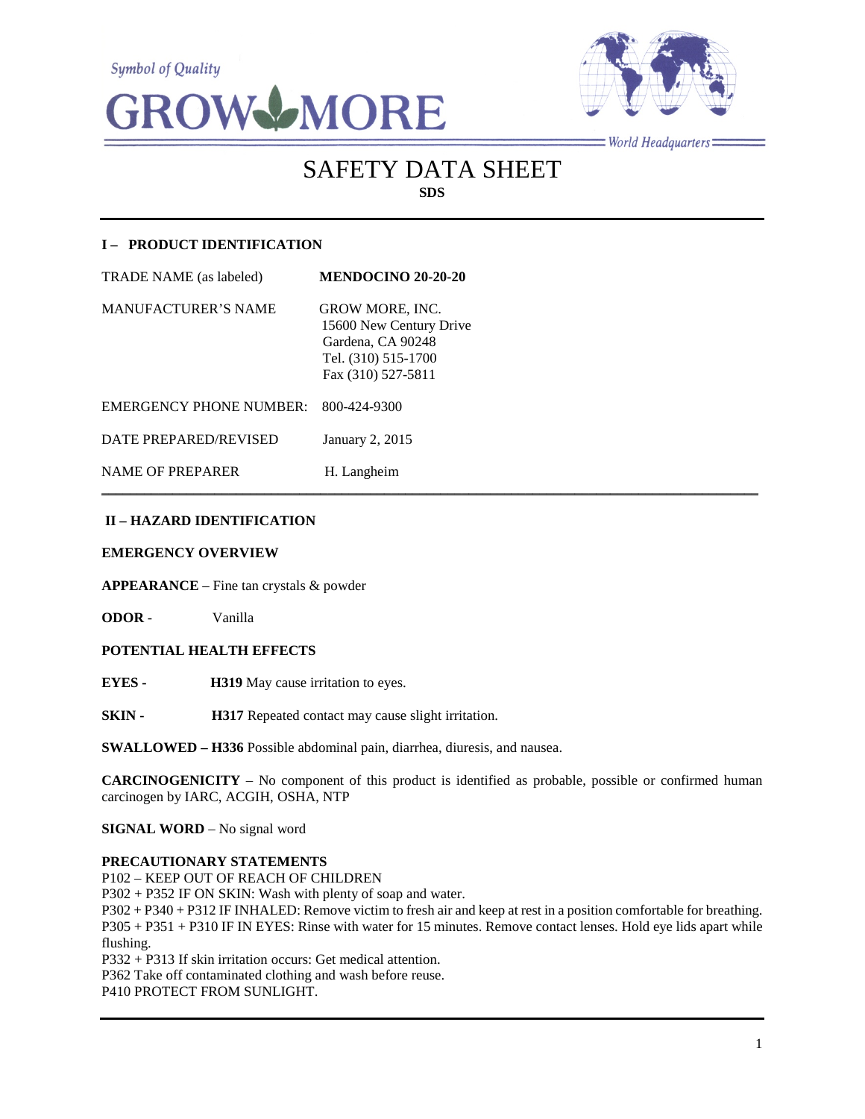**Symbol of Quality** 





 $=$  World Headquarters  $=$ 

# SAFETY DATA SHEET **SDS**

## **I – PRODUCT IDENTIFICATION**

| TRADE NAME (as labeled)    | <b>MENDOCINO 20-20-20</b>                                                                                           |
|----------------------------|---------------------------------------------------------------------------------------------------------------------|
| <b>MANUFACTURER'S NAME</b> | <b>GROW MORE, INC.</b><br>15600 New Century Drive<br>Gardena, CA 90248<br>Tel. (310) 515-1700<br>Fax (310) 527-5811 |
| EMERGENCY PHONE NUMBER:    | 800-424-9300                                                                                                        |
| DATE PREPARED/REVISED      | January 2, 2015                                                                                                     |
| <b>NAME OF PREPARER</b>    | H. Langheim                                                                                                         |

## **II – HAZARD IDENTIFICATION**

#### **EMERGENCY OVERVIEW**

**APPEARANCE** – Fine tan crystals & powder

**ODOR** - Vanilla

## **POTENTIAL HEALTH EFFECTS**

**EYES - H319** May cause irritation to eyes.

**SKIN - H317** Repeated contact may cause slight irritation.

**SWALLOWED – H336** Possible abdominal pain, diarrhea, diuresis, and nausea.

**CARCINOGENICITY** – No component of this product is identified as probable, possible or confirmed human carcinogen by IARC, ACGIH, OSHA, NTP

 $\mathcal{L}_\mathcal{L} = \mathcal{L}_\mathcal{L} = \mathcal{L}_\mathcal{L} = \mathcal{L}_\mathcal{L} = \mathcal{L}_\mathcal{L} = \mathcal{L}_\mathcal{L} = \mathcal{L}_\mathcal{L} = \mathcal{L}_\mathcal{L} = \mathcal{L}_\mathcal{L} = \mathcal{L}_\mathcal{L} = \mathcal{L}_\mathcal{L} = \mathcal{L}_\mathcal{L} = \mathcal{L}_\mathcal{L} = \mathcal{L}_\mathcal{L} = \mathcal{L}_\mathcal{L} = \mathcal{L}_\mathcal{L} = \mathcal{L}_\mathcal{L}$ 

**SIGNAL WORD** – No signal word

#### **PRECAUTIONARY STATEMENTS**

P102 – KEEP OUT OF REACH OF CHILDREN

P302 + P352 IF ON SKIN: Wash with plenty of soap and water.

P302 + P340 + P312 IF INHALED: Remove victim to fresh air and keep at rest in a position comfortable for breathing. P305 + P351 + P310 IF IN EYES: Rinse with water for 15 minutes. Remove contact lenses. Hold eye lids apart while flushing.

P332 + P313 If skin irritation occurs: Get medical attention.

P362 Take off contaminated clothing and wash before reuse.

P410 PROTECT FROM SUNLIGHT.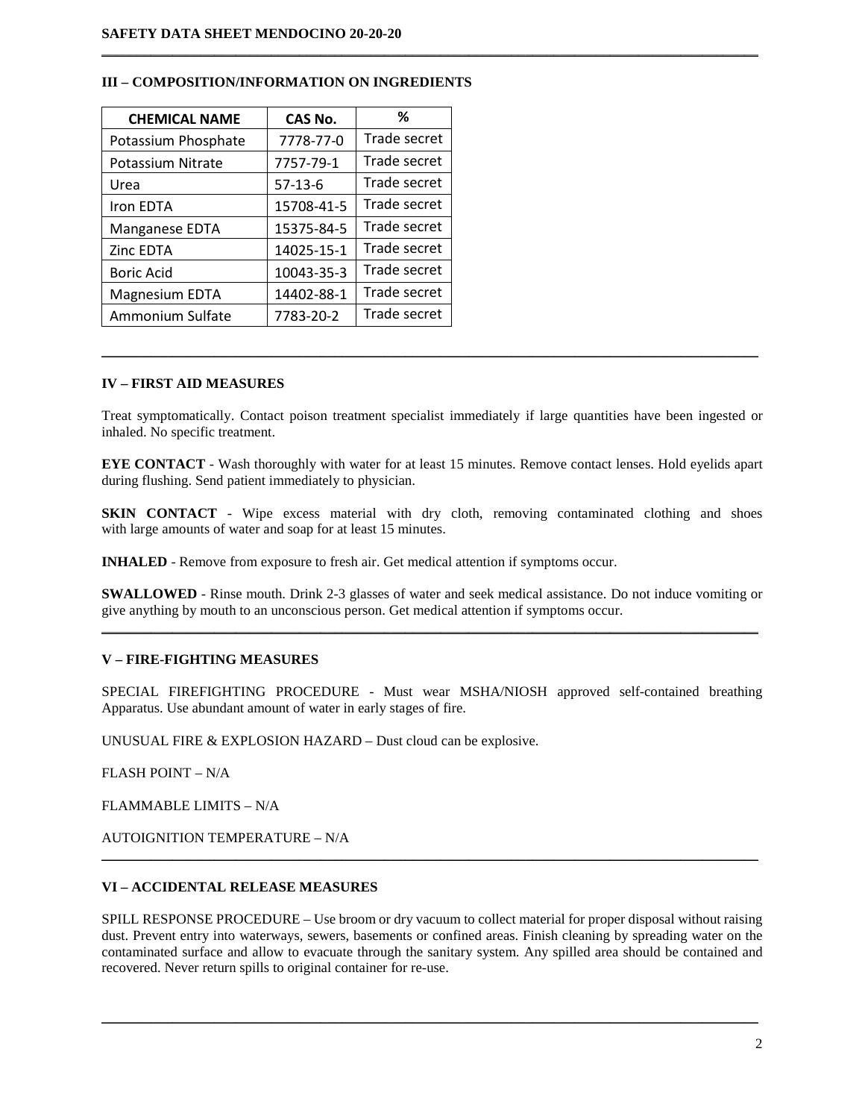| <b>CHEMICAL NAME</b> | CAS No.    | ℅            |
|----------------------|------------|--------------|
| Potassium Phosphate  | 7778-77-0  | Trade secret |
| Potassium Nitrate    | 7757-79-1  | Trade secret |
| Urea                 | $57-13-6$  | Trade secret |
| Iron EDTA            | 15708-41-5 | Trade secret |
| Manganese EDTA       | 15375-84-5 | Trade secret |
| Zinc EDTA            | 14025-15-1 | Trade secret |
| Boric Acid           | 10043-35-3 | Trade secret |
| Magnesium EDTA       | 14402-88-1 | Trade secret |
| Ammonium Sulfate     | 7783-20-2  | Trade secret |

## **III – COMPOSITION/INFORMATION ON INGREDIENTS**

## **IV – FIRST AID MEASURES**

Treat symptomatically. Contact poison treatment specialist immediately if large quantities have been ingested or inhaled. No specific treatment.

 $\mathcal{L}_\mathcal{L} = \{ \mathcal{L}_\mathcal{L} = \{ \mathcal{L}_\mathcal{L} = \{ \mathcal{L}_\mathcal{L} = \{ \mathcal{L}_\mathcal{L} = \{ \mathcal{L}_\mathcal{L} = \{ \mathcal{L}_\mathcal{L} = \{ \mathcal{L}_\mathcal{L} = \{ \mathcal{L}_\mathcal{L} = \{ \mathcal{L}_\mathcal{L} = \{ \mathcal{L}_\mathcal{L} = \{ \mathcal{L}_\mathcal{L} = \{ \mathcal{L}_\mathcal{L} = \{ \mathcal{L}_\mathcal{L} = \{ \mathcal{L}_\mathcal{$ 

 $\mathcal{L}_\mathcal{L} = \{ \mathcal{L}_\mathcal{L} = \{ \mathcal{L}_\mathcal{L} = \{ \mathcal{L}_\mathcal{L} = \{ \mathcal{L}_\mathcal{L} = \{ \mathcal{L}_\mathcal{L} = \{ \mathcal{L}_\mathcal{L} = \{ \mathcal{L}_\mathcal{L} = \{ \mathcal{L}_\mathcal{L} = \{ \mathcal{L}_\mathcal{L} = \{ \mathcal{L}_\mathcal{L} = \{ \mathcal{L}_\mathcal{L} = \{ \mathcal{L}_\mathcal{L} = \{ \mathcal{L}_\mathcal{L} = \{ \mathcal{L}_\mathcal{$ 

**EYE CONTACT** - Wash thoroughly with water for at least 15 minutes. Remove contact lenses. Hold eyelids apart during flushing. Send patient immediately to physician.

**SKIN CONTACT** - Wipe excess material with dry cloth, removing contaminated clothing and shoes with large amounts of water and soap for at least 15 minutes.

**INHALED** - Remove from exposure to fresh air. Get medical attention if symptoms occur.

**SWALLOWED** - Rinse mouth. Drink 2-3 glasses of water and seek medical assistance. Do not induce vomiting or give anything by mouth to an unconscious person. Get medical attention if symptoms occur. \_\_\_\_\_\_\_\_\_\_\_\_\_\_\_\_\_\_\_\_\_\_\_\_\_\_\_\_\_\_\_\_\_\_\_\_\_\_\_\_\_\_\_\_\_\_\_\_\_\_\_\_\_\_\_\_\_\_\_\_\_\_\_\_\_\_\_\_\_\_\_\_\_\_\_\_\_\_\_\_\_\_\_\_\_\_\_\_\_\_\_\_\_

## **V – FIRE-FIGHTING MEASURES**

SPECIAL FIREFIGHTING PROCEDURE - Must wear MSHA/NIOSH approved self-contained breathing Apparatus. Use abundant amount of water in early stages of fire.

UNUSUAL FIRE & EXPLOSION HAZARD – Dust cloud can be explosive.

FLASH POINT – N/A

FLAMMABLE LIMITS – N/A

AUTOIGNITION TEMPERATURE – N/A

#### **VI – ACCIDENTAL RELEASE MEASURES**

SPILL RESPONSE PROCEDURE – Use broom or dry vacuum to collect material for proper disposal without raising dust. Prevent entry into waterways, sewers, basements or confined areas. Finish cleaning by spreading water on the contaminated surface and allow to evacuate through the sanitary system. Any spilled area should be contained and recovered. Never return spills to original container for re-use.

\_\_\_\_\_\_\_\_\_\_\_\_\_\_\_\_\_\_\_\_\_\_\_\_\_\_\_\_\_\_\_\_\_\_\_\_\_\_\_\_\_\_\_\_\_\_\_\_\_\_\_\_\_\_\_\_\_\_\_\_\_\_\_\_\_\_\_\_\_\_\_\_\_\_\_\_\_\_\_\_\_\_\_\_\_\_\_\_\_\_\_\_\_

\_\_\_\_\_\_\_\_\_\_\_\_\_\_\_\_\_\_\_\_\_\_\_\_\_\_\_\_\_\_\_\_\_\_\_\_\_\_\_\_\_\_\_\_\_\_\_\_\_\_\_\_\_\_\_\_\_\_\_\_\_\_\_\_\_\_\_\_\_\_\_\_\_\_\_\_\_\_\_\_\_\_\_\_\_\_\_\_\_\_\_\_\_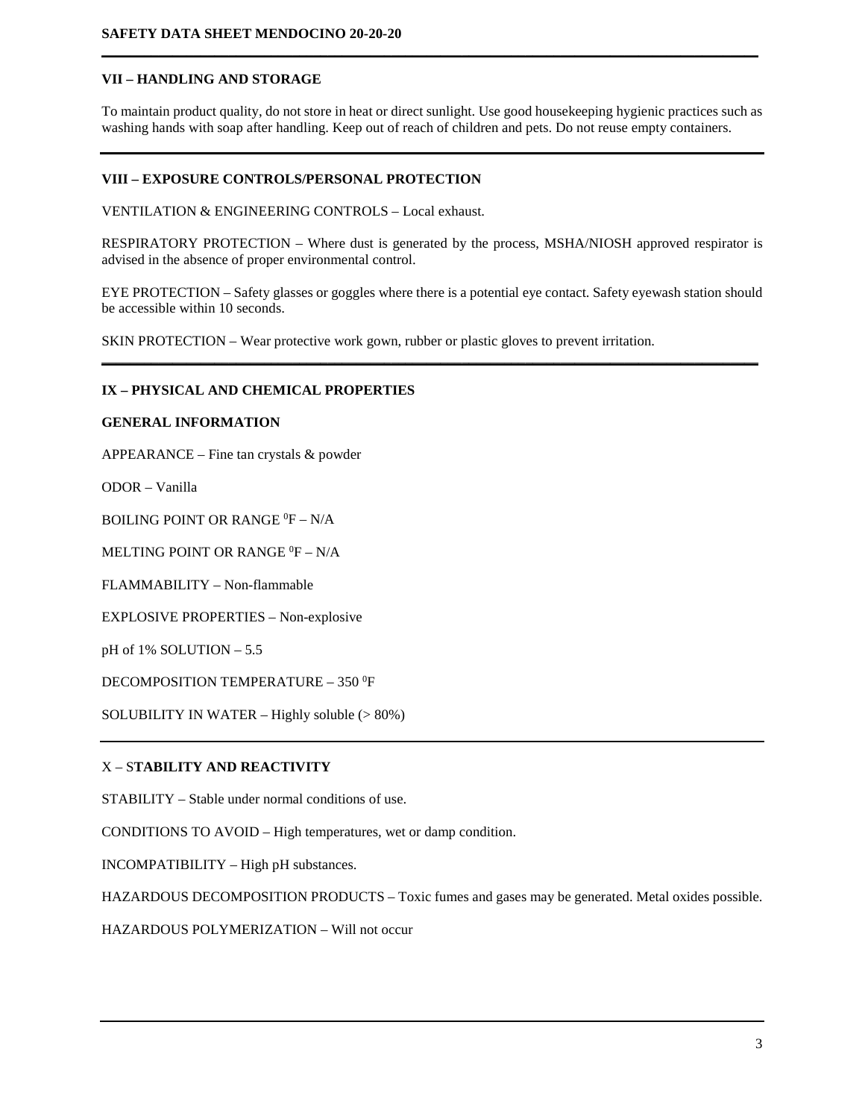## **VII – HANDLING AND STORAGE**

To maintain product quality, do not store in heat or direct sunlight. Use good housekeeping hygienic practices such as washing hands with soap after handling. Keep out of reach of children and pets. Do not reuse empty containers.

**\_\_\_\_\_\_\_\_\_\_\_\_\_\_\_\_\_\_\_\_\_\_\_\_\_\_\_\_\_\_\_\_\_\_\_\_\_\_\_\_\_\_\_\_\_\_\_\_\_\_\_\_\_\_\_\_\_\_\_\_\_\_\_\_\_\_\_\_\_\_\_\_\_\_\_\_\_\_\_\_\_\_\_\_\_\_\_\_\_\_\_\_\_**

## **VIII – EXPOSURE CONTROLS/PERSONAL PROTECTION**

VENTILATION & ENGINEERING CONTROLS – Local exhaust.

RESPIRATORY PROTECTION – Where dust is generated by the process, MSHA/NIOSH approved respirator is advised in the absence of proper environmental control.

EYE PROTECTION – Safety glasses or goggles where there is a potential eye contact. Safety eyewash station should be accessible within 10 seconds.

**\_\_\_\_\_\_\_\_\_\_\_\_\_\_\_\_\_\_\_\_\_\_\_\_\_\_\_\_\_\_\_\_\_\_\_\_\_\_\_\_\_\_\_\_\_\_\_\_\_\_\_\_\_\_\_\_\_\_\_\_\_\_\_\_\_\_\_\_\_\_\_\_\_\_\_\_\_\_\_\_\_\_\_\_\_\_\_\_\_\_\_\_\_**

SKIN PROTECTION – Wear protective work gown, rubber or plastic gloves to prevent irritation.

## **IX – PHYSICAL AND CHEMICAL PROPERTIES**

#### **GENERAL INFORMATION**

APPEARANCE – Fine tan crystals & powder

ODOR – Vanilla

BOILING POINT OR RANGE  ${}^0F - N/A$ 

MELTING POINT OR RANGE  ${}^{0}\text{F} - \text{N/A}$ 

FLAMMABILITY – Non-flammable

EXPLOSIVE PROPERTIES – Non-explosive

pH of 1% SOLUTION – 5.5

DECOMPOSITION TEMPERATURE – 350 <sup>0</sup>F

SOLUBILITY IN WATER – Highly soluble (> 80%)

## X – S**TABILITY AND REACTIVITY**

STABILITY – Stable under normal conditions of use.

CONDITIONS TO AVOID – High temperatures, wet or damp condition.

INCOMPATIBILITY – High pH substances.

HAZARDOUS DECOMPOSITION PRODUCTS – Toxic fumes and gases may be generated. Metal oxides possible.

HAZARDOUS POLYMERIZATION – Will not occur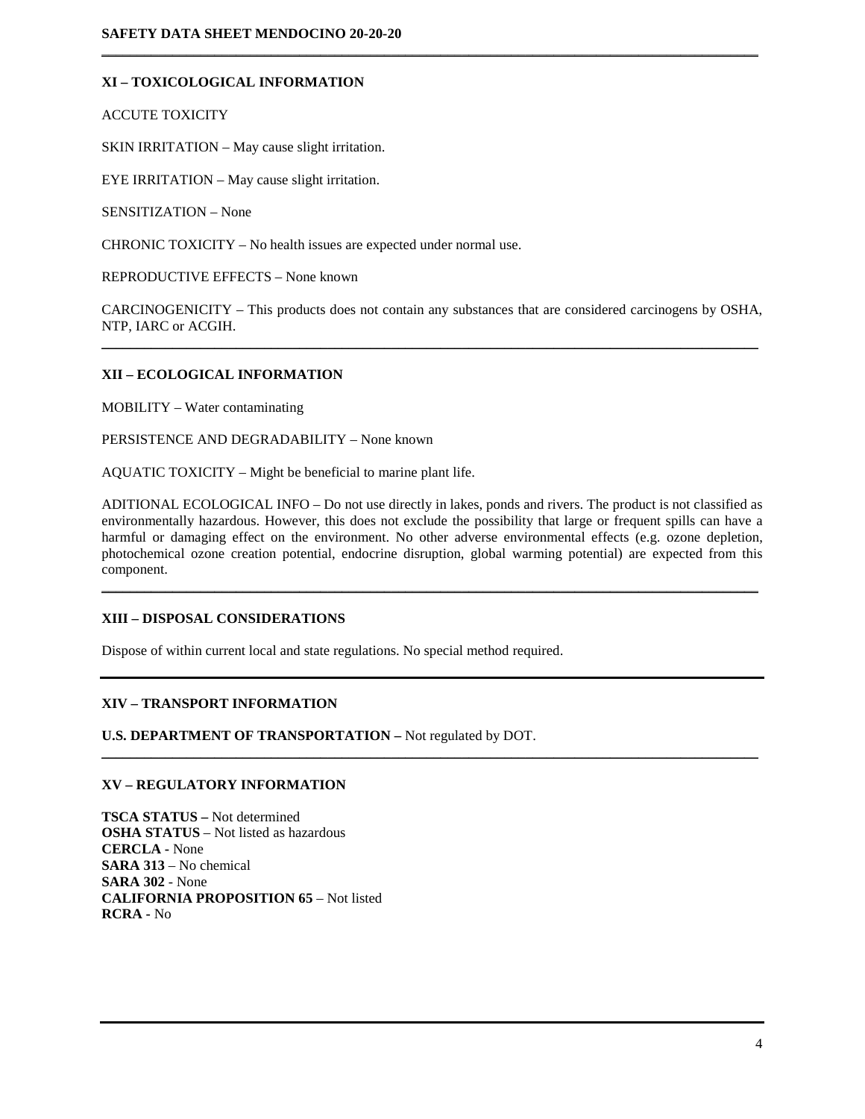## **XI – TOXICOLOGICAL INFORMATION**

ACCUTE TOXICITY

SKIN IRRITATION – May cause slight irritation.

EYE IRRITATION – May cause slight irritation.

SENSITIZATION – None

CHRONIC TOXICITY – No health issues are expected under normal use.

REPRODUCTIVE EFFECTS – None known

CARCINOGENICITY – This products does not contain any substances that are considered carcinogens by OSHA, NTP, IARC or ACGIH.  $\mathcal{L}_\mathcal{L} = \{ \mathcal{L}_\mathcal{L} = \{ \mathcal{L}_\mathcal{L} = \{ \mathcal{L}_\mathcal{L} = \{ \mathcal{L}_\mathcal{L} = \{ \mathcal{L}_\mathcal{L} = \{ \mathcal{L}_\mathcal{L} = \{ \mathcal{L}_\mathcal{L} = \{ \mathcal{L}_\mathcal{L} = \{ \mathcal{L}_\mathcal{L} = \{ \mathcal{L}_\mathcal{L} = \{ \mathcal{L}_\mathcal{L} = \{ \mathcal{L}_\mathcal{L} = \{ \mathcal{L}_\mathcal{L} = \{ \mathcal{L}_\mathcal{$ 

 $\mathcal{L}_\mathcal{L} = \{ \mathcal{L}_\mathcal{L} = \{ \mathcal{L}_\mathcal{L} = \{ \mathcal{L}_\mathcal{L} = \{ \mathcal{L}_\mathcal{L} = \{ \mathcal{L}_\mathcal{L} = \{ \mathcal{L}_\mathcal{L} = \{ \mathcal{L}_\mathcal{L} = \{ \mathcal{L}_\mathcal{L} = \{ \mathcal{L}_\mathcal{L} = \{ \mathcal{L}_\mathcal{L} = \{ \mathcal{L}_\mathcal{L} = \{ \mathcal{L}_\mathcal{L} = \{ \mathcal{L}_\mathcal{L} = \{ \mathcal{L}_\mathcal{$ 

#### **XII – ECOLOGICAL INFORMATION**

MOBILITY – Water contaminating

PERSISTENCE AND DEGRADABILITY – None known

AQUATIC TOXICITY – Might be beneficial to marine plant life.

ADITIONAL ECOLOGICAL INFO – Do not use directly in lakes, ponds and rivers. The product is not classified as environmentally hazardous. However, this does not exclude the possibility that large or frequent spills can have a harmful or damaging effect on the environment. No other adverse environmental effects (e.g. ozone depletion, photochemical ozone creation potential, endocrine disruption, global warming potential) are expected from this component.

 $\mathcal{L}_\mathcal{L} = \{ \mathcal{L}_\mathcal{L} = \{ \mathcal{L}_\mathcal{L} = \{ \mathcal{L}_\mathcal{L} = \{ \mathcal{L}_\mathcal{L} = \{ \mathcal{L}_\mathcal{L} = \{ \mathcal{L}_\mathcal{L} = \{ \mathcal{L}_\mathcal{L} = \{ \mathcal{L}_\mathcal{L} = \{ \mathcal{L}_\mathcal{L} = \{ \mathcal{L}_\mathcal{L} = \{ \mathcal{L}_\mathcal{L} = \{ \mathcal{L}_\mathcal{L} = \{ \mathcal{L}_\mathcal{L} = \{ \mathcal{L}_\mathcal{$ 

 $\mathcal{L}_\mathcal{L} = \mathcal{L}_\mathcal{L} = \mathcal{L}_\mathcal{L} = \mathcal{L}_\mathcal{L} = \mathcal{L}_\mathcal{L} = \mathcal{L}_\mathcal{L} = \mathcal{L}_\mathcal{L} = \mathcal{L}_\mathcal{L} = \mathcal{L}_\mathcal{L} = \mathcal{L}_\mathcal{L} = \mathcal{L}_\mathcal{L} = \mathcal{L}_\mathcal{L} = \mathcal{L}_\mathcal{L} = \mathcal{L}_\mathcal{L} = \mathcal{L}_\mathcal{L} = \mathcal{L}_\mathcal{L} = \mathcal{L}_\mathcal{L}$ 

## **XIII – DISPOSAL CONSIDERATIONS**

Dispose of within current local and state regulations. No special method required.

## **XIV – TRANSPORT INFORMATION**

**U.S. DEPARTMENT OF TRANSPORTATION –** Not regulated by DOT.

## **XV – REGULATORY INFORMATION**

**TSCA STATUS –** Not determined **OSHA STATUS** – Not listed as hazardous **CERCLA -** None **SARA 313** – No chemical **SARA 302** - None **CALIFORNIA PROPOSITION 65** – Not listed **RCRA -** No